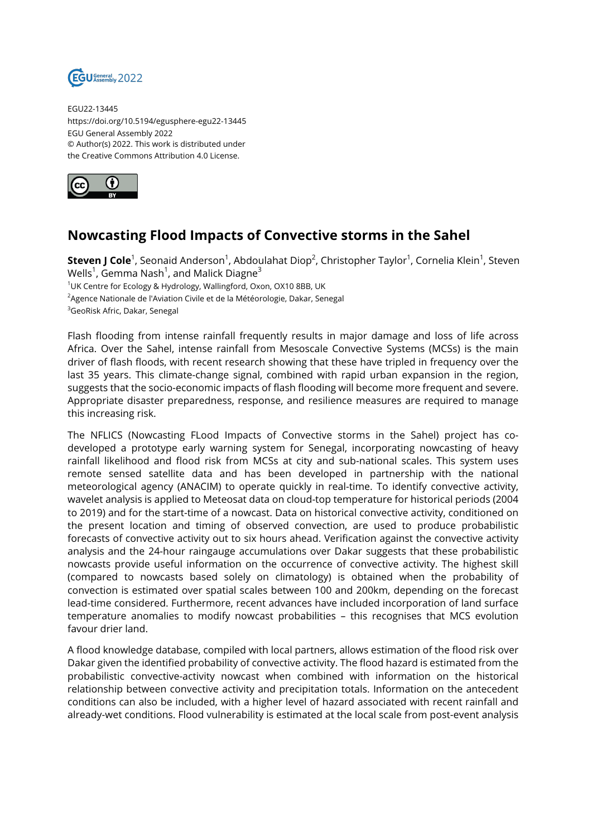

EGU22-13445 https://doi.org/10.5194/egusphere-egu22-13445 EGU General Assembly 2022 © Author(s) 2022. This work is distributed under the Creative Commons Attribution 4.0 License.



## **Nowcasting Flood Impacts of Convective storms in the Sahel**

 $\mathsf{\textbf{Steven}\,J\,Cole}^1$ , Seonaid Anderson<sup>1</sup>, Abdoulahat Diop<sup>2</sup>, Christopher Taylor<sup>1</sup>, Cornelia Klein<sup>1</sup>, Steven Wells $^1$ , Gemma Nash $^1$ , and Malick Diagne $^3$ <sup>1</sup>UK Centre for Ecology & Hydrology, Wallingford, Oxon, OX10 8BB, UK <sup>2</sup>Agence Nationale de l'Aviation Civile et de la Météorologie, Dakar, Senegal

<sup>3</sup>GeoRisk Afric, Dakar, Senegal

Flash flooding from intense rainfall frequently results in major damage and loss of life across Africa. Over the Sahel, intense rainfall from Mesoscale Convective Systems (MCSs) is the main driver of flash floods, with recent research showing that these have tripled in frequency over the last 35 years. This climate-change signal, combined with rapid urban expansion in the region, suggests that the socio-economic impacts of flash flooding will become more frequent and severe. Appropriate disaster preparedness, response, and resilience measures are required to manage this increasing risk.

The NFLICS (Nowcasting FLood Impacts of Convective storms in the Sahel) project has codeveloped a prototype early warning system for Senegal, incorporating nowcasting of heavy rainfall likelihood and flood risk from MCSs at city and sub-national scales. This system uses remote sensed satellite data and has been developed in partnership with the national meteorological agency (ANACIM) to operate quickly in real-time. To identify convective activity, wavelet analysis is applied to Meteosat data on cloud-top temperature for historical periods (2004 to 2019) and for the start-time of a nowcast. Data on historical convective activity, conditioned on the present location and timing of observed convection, are used to produce probabilistic forecasts of convective activity out to six hours ahead. Verification against the convective activity analysis and the 24-hour raingauge accumulations over Dakar suggests that these probabilistic nowcasts provide useful information on the occurrence of convective activity. The highest skill (compared to nowcasts based solely on climatology) is obtained when the probability of convection is estimated over spatial scales between 100 and 200km, depending on the forecast lead-time considered. Furthermore, recent advances have included incorporation of land surface temperature anomalies to modify nowcast probabilities – this recognises that MCS evolution favour drier land.

A flood knowledge database, compiled with local partners, allows estimation of the flood risk over Dakar given the identified probability of convective activity. The flood hazard is estimated from the probabilistic convective-activity nowcast when combined with information on the historical relationship between convective activity and precipitation totals. Information on the antecedent conditions can also be included, with a higher level of hazard associated with recent rainfall and already-wet conditions. Flood vulnerability is estimated at the local scale from post-event analysis